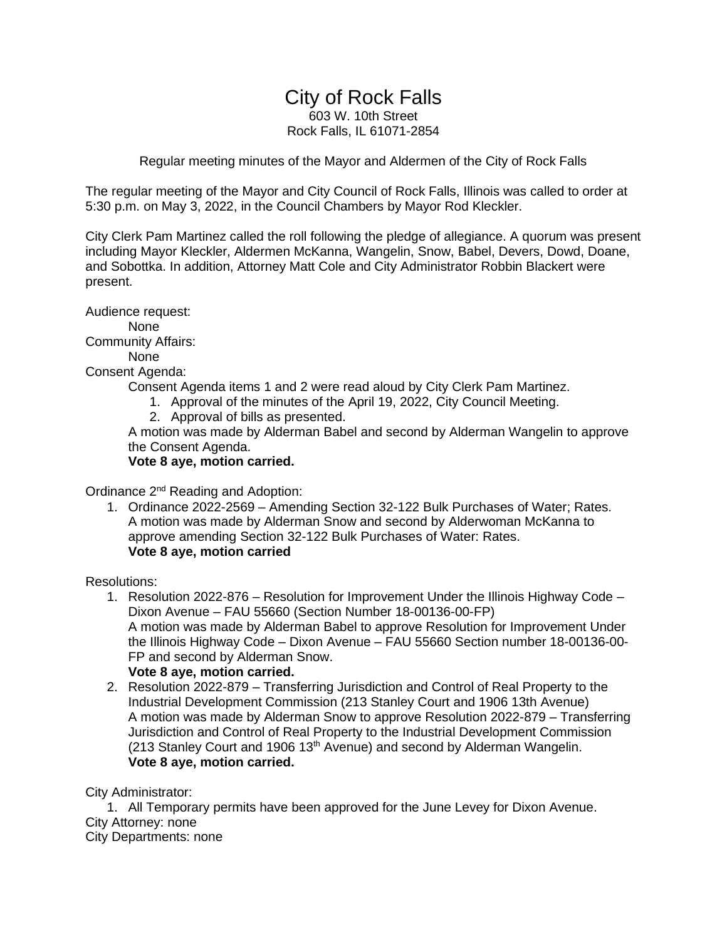# City of Rock Falls

603 W. 10th Street Rock Falls, IL 61071-2854

Regular meeting minutes of the Mayor and Aldermen of the City of Rock Falls

The regular meeting of the Mayor and City Council of Rock Falls, Illinois was called to order at 5:30 p.m. on May 3, 2022, in the Council Chambers by Mayor Rod Kleckler.

City Clerk Pam Martinez called the roll following the pledge of allegiance. A quorum was present including Mayor Kleckler, Aldermen McKanna, Wangelin, Snow, Babel, Devers, Dowd, Doane, and Sobottka. In addition, Attorney Matt Cole and City Administrator Robbin Blackert were present.

Audience request: None Community Affairs: None Consent Agenda:

Consent Agenda items 1 and 2 were read aloud by City Clerk Pam Martinez.

- 1. Approval of the minutes of the April 19, 2022, City Council Meeting.
- 2. Approval of bills as presented.

A motion was made by Alderman Babel and second by Alderman Wangelin to approve the Consent Agenda.

**Vote 8 aye, motion carried.**

Ordinance 2<sup>nd</sup> Reading and Adoption:

1. Ordinance 2022-2569 – Amending Section 32-122 Bulk Purchases of Water; Rates. A motion was made by Alderman Snow and second by Alderwoman McKanna to approve amending Section 32-122 Bulk Purchases of Water: Rates. **Vote 8 aye, motion carried**

Resolutions:

1. Resolution 2022-876 – Resolution for Improvement Under the Illinois Highway Code – Dixon Avenue – FAU 55660 (Section Number 18-00136-00-FP) A motion was made by Alderman Babel to approve Resolution for Improvement Under the Illinois Highway Code – Dixon Avenue – FAU 55660 Section number 18-00136-00- FP and second by Alderman Snow.

#### **Vote 8 aye, motion carried.**

2. Resolution 2022-879 – Transferring Jurisdiction and Control of Real Property to the Industrial Development Commission (213 Stanley Court and 1906 13th Avenue) A motion was made by Alderman Snow to approve Resolution 2022-879 – Transferring Jurisdiction and Control of Real Property to the Industrial Development Commission  $(213$  Stanley Court and 1906 13<sup>th</sup> Avenue) and second by Alderman Wangelin. **Vote 8 aye, motion carried.**

City Administrator:

1. All Temporary permits have been approved for the June Levey for Dixon Avenue. City Attorney: none City Departments: none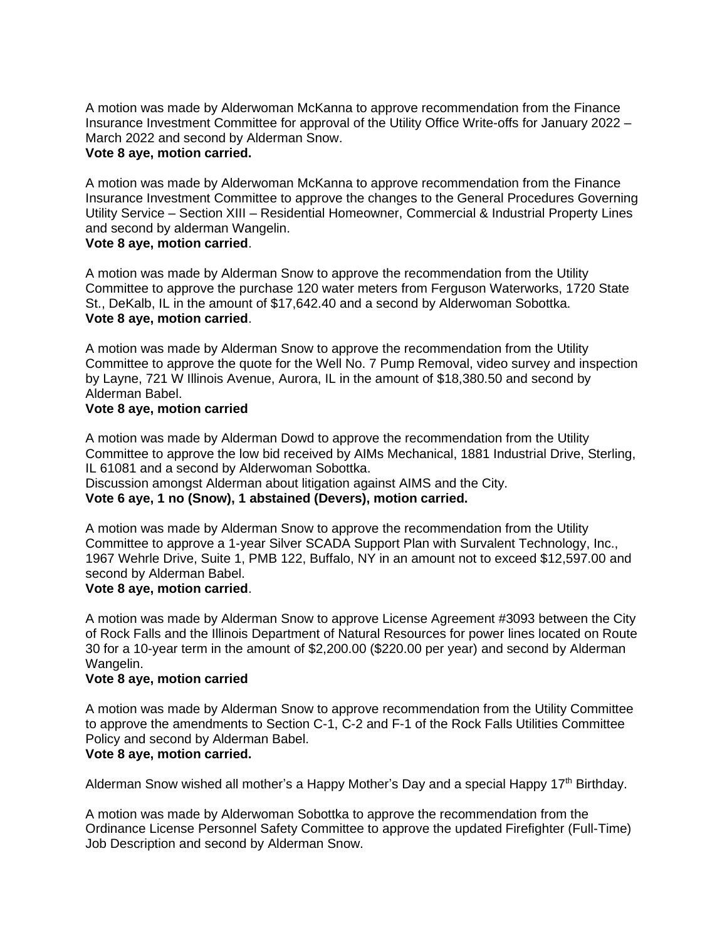A motion was made by Alderwoman McKanna to approve recommendation from the Finance Insurance Investment Committee for approval of the Utility Office Write-offs for January 2022 – March 2022 and second by Alderman Snow.

#### **Vote 8 aye, motion carried.**

A motion was made by Alderwoman McKanna to approve recommendation from the Finance Insurance Investment Committee to approve the changes to the General Procedures Governing Utility Service – Section XIII – Residential Homeowner, Commercial & Industrial Property Lines and second by alderman Wangelin.

# **Vote 8 aye, motion carried**.

A motion was made by Alderman Snow to approve the recommendation from the Utility Committee to approve the purchase 120 water meters from Ferguson Waterworks, 1720 State St., DeKalb, IL in the amount of \$17,642.40 and a second by Alderwoman Sobottka. **Vote 8 aye, motion carried**.

A motion was made by Alderman Snow to approve the recommendation from the Utility Committee to approve the quote for the Well No. 7 Pump Removal, video survey and inspection by Layne, 721 W Illinois Avenue, Aurora, IL in the amount of \$18,380.50 and second by Alderman Babel.

#### **Vote 8 aye, motion carried**

A motion was made by Alderman Dowd to approve the recommendation from the Utility Committee to approve the low bid received by AIMs Mechanical, 1881 Industrial Drive, Sterling, IL 61081 and a second by Alderwoman Sobottka.

Discussion amongst Alderman about litigation against AIMS and the City.

**Vote 6 aye, 1 no (Snow), 1 abstained (Devers), motion carried.**

A motion was made by Alderman Snow to approve the recommendation from the Utility Committee to approve a 1-year Silver SCADA Support Plan with Survalent Technology, Inc., 1967 Wehrle Drive, Suite 1, PMB 122, Buffalo, NY in an amount not to exceed \$12,597.00 and second by Alderman Babel.

## **Vote 8 aye, motion carried**.

A motion was made by Alderman Snow to approve License Agreement #3093 between the City of Rock Falls and the Illinois Department of Natural Resources for power lines located on Route 30 for a 10-year term in the amount of \$2,200.00 (\$220.00 per year) and second by Alderman Wangelin.

#### **Vote 8 aye, motion carried**

A motion was made by Alderman Snow to approve recommendation from the Utility Committee to approve the amendments to Section C-1, C-2 and F-1 of the Rock Falls Utilities Committee Policy and second by Alderman Babel.

# **Vote 8 aye, motion carried.**

Alderman Snow wished all mother's a Happy Mother's Day and a special Happy 17<sup>th</sup> Birthday.

A motion was made by Alderwoman Sobottka to approve the recommendation from the Ordinance License Personnel Safety Committee to approve the updated Firefighter (Full-Time) Job Description and second by Alderman Snow.